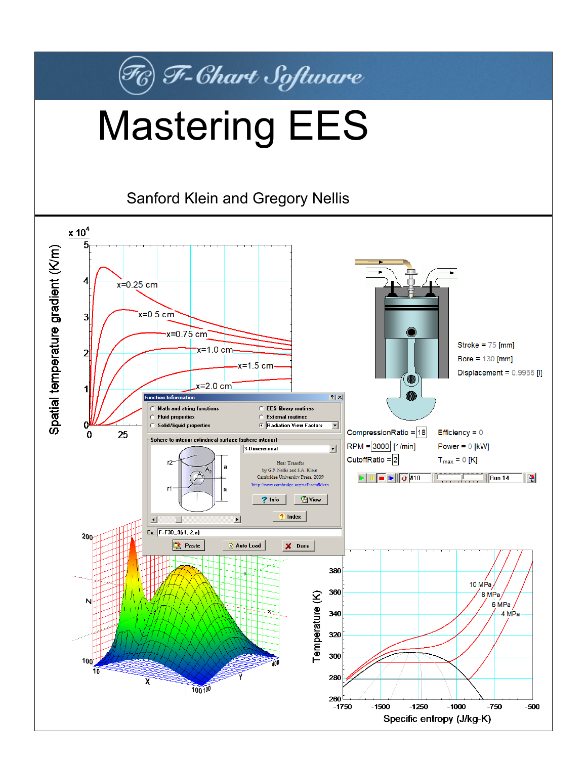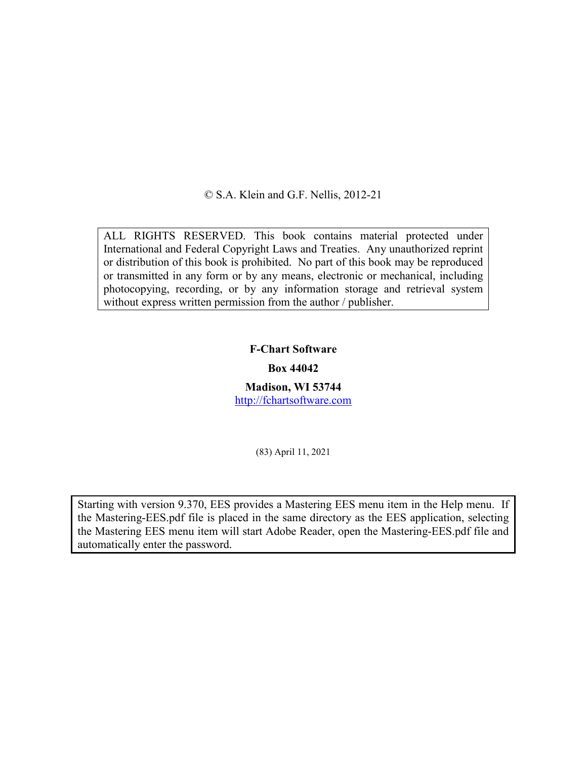© S.A. Klein and G.F. Nellis, 2012-21

ALL RIGHTS RESERVED. This book contains material protected under International and Federal Copyright Laws and Treaties. Any unauthorized reprint or distribution of this book is prohibited. No part of this book may be reproduced or transmitted in any form or by any means, electronic or mechanical, including photocopying, recording, or by any information storage and retrieval system without express written permission from the author / publisher.

## **F-Chart Software**

## **Box 44042**

**Madison, WI 53744** [http://fchartsoftware.com](http://fchartsoftware.com/)

(83) April 11, 2021

Starting with version 9.370, EES provides a Mastering EES menu item in the Help menu. If the Mastering-EES.pdf file is placed in the same directory as the EES application, selecting the Mastering EES menu item will start Adobe Reader, open the Mastering-EES.pdf file and automatically enter the password.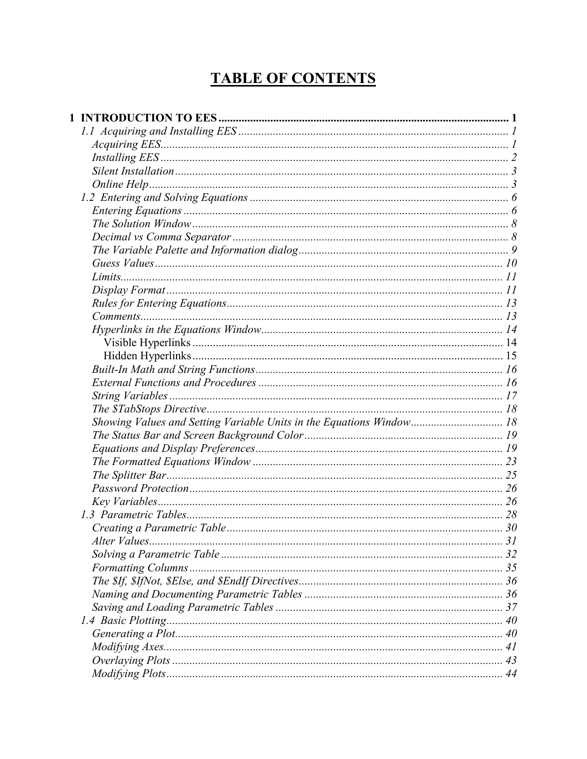## **TABLE OF CONTENTS**

| Showing Values and Setting Variable Units in the Equations Window 18 |  |
|----------------------------------------------------------------------|--|
|                                                                      |  |
|                                                                      |  |
|                                                                      |  |
|                                                                      |  |
|                                                                      |  |
|                                                                      |  |
|                                                                      |  |
|                                                                      |  |
| Alter Values                                                         |  |
|                                                                      |  |
|                                                                      |  |
|                                                                      |  |
|                                                                      |  |
|                                                                      |  |
|                                                                      |  |
|                                                                      |  |
|                                                                      |  |
|                                                                      |  |
|                                                                      |  |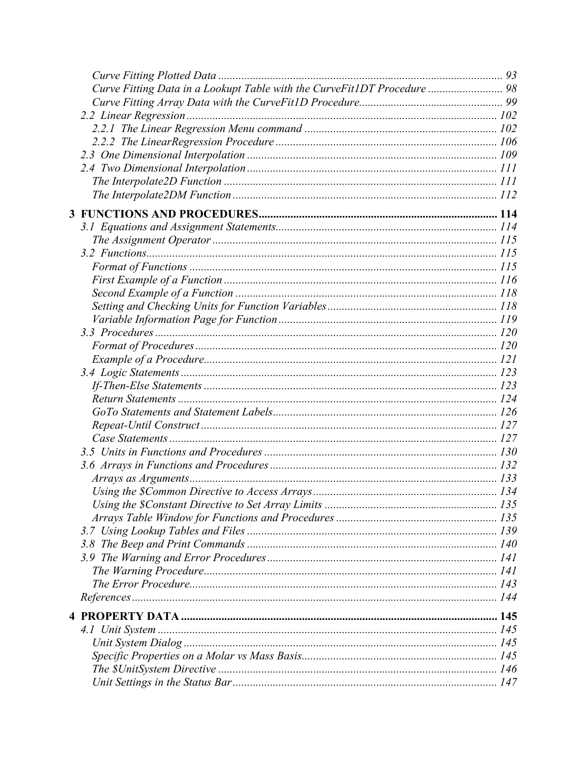| Curve Fitting Data in a Lookupt Table with the CurveFit1DT Procedure  98 |  |
|--------------------------------------------------------------------------|--|
|                                                                          |  |
|                                                                          |  |
|                                                                          |  |
|                                                                          |  |
|                                                                          |  |
|                                                                          |  |
|                                                                          |  |
|                                                                          |  |
|                                                                          |  |
|                                                                          |  |
|                                                                          |  |
|                                                                          |  |
|                                                                          |  |
|                                                                          |  |
|                                                                          |  |
|                                                                          |  |
|                                                                          |  |
|                                                                          |  |
|                                                                          |  |
|                                                                          |  |
|                                                                          |  |
|                                                                          |  |
|                                                                          |  |
|                                                                          |  |
|                                                                          |  |
|                                                                          |  |
|                                                                          |  |
|                                                                          |  |
|                                                                          |  |
|                                                                          |  |
|                                                                          |  |
|                                                                          |  |
|                                                                          |  |
|                                                                          |  |
|                                                                          |  |
|                                                                          |  |
|                                                                          |  |
|                                                                          |  |
|                                                                          |  |
|                                                                          |  |
|                                                                          |  |
|                                                                          |  |
|                                                                          |  |
|                                                                          |  |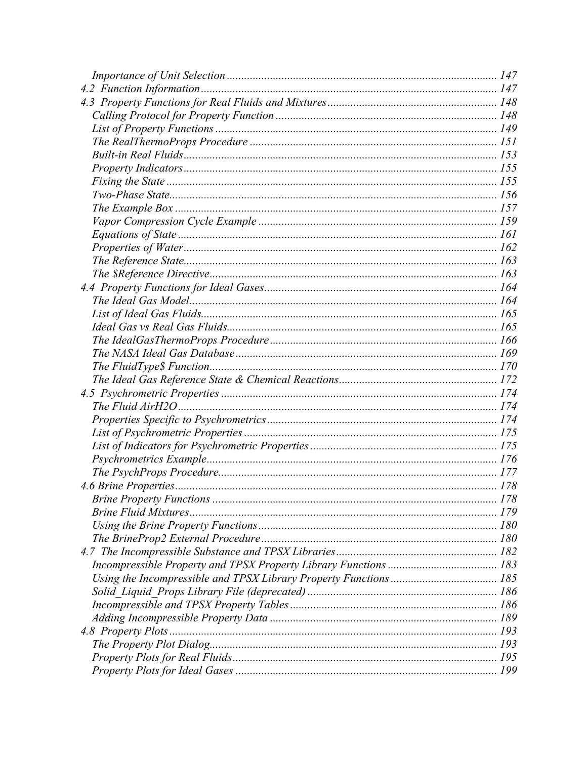| .178 |
|------|
|      |
|      |
|      |
|      |
|      |
|      |
|      |
|      |
|      |
|      |
|      |
|      |
|      |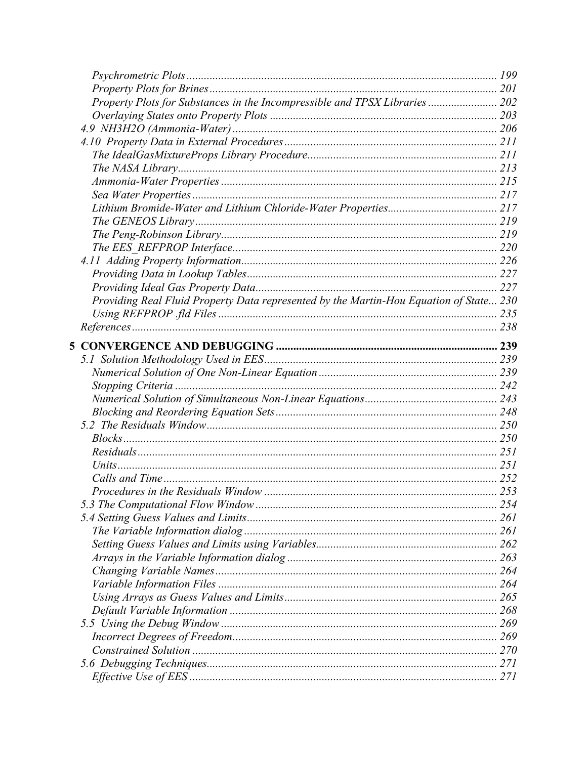|                                                                                        | 199 |
|----------------------------------------------------------------------------------------|-----|
|                                                                                        |     |
| Property Plots for Substances in the Incompressible and TPSX Libraries  202            |     |
|                                                                                        |     |
|                                                                                        |     |
|                                                                                        |     |
|                                                                                        |     |
|                                                                                        |     |
|                                                                                        |     |
|                                                                                        |     |
|                                                                                        |     |
|                                                                                        |     |
|                                                                                        |     |
|                                                                                        |     |
|                                                                                        |     |
|                                                                                        |     |
|                                                                                        |     |
| Providing Real Fluid Property Data represented by the Martin-Hou Equation of State 230 |     |
|                                                                                        |     |
|                                                                                        |     |
|                                                                                        |     |
|                                                                                        |     |
|                                                                                        |     |
|                                                                                        |     |
|                                                                                        |     |
|                                                                                        |     |
|                                                                                        |     |
|                                                                                        |     |
|                                                                                        |     |
|                                                                                        |     |
|                                                                                        |     |
|                                                                                        |     |
|                                                                                        | 254 |
|                                                                                        |     |
|                                                                                        |     |
|                                                                                        |     |
|                                                                                        |     |
|                                                                                        |     |
|                                                                                        |     |
|                                                                                        |     |
|                                                                                        |     |
|                                                                                        |     |
|                                                                                        |     |
|                                                                                        |     |
|                                                                                        |     |
|                                                                                        |     |
|                                                                                        |     |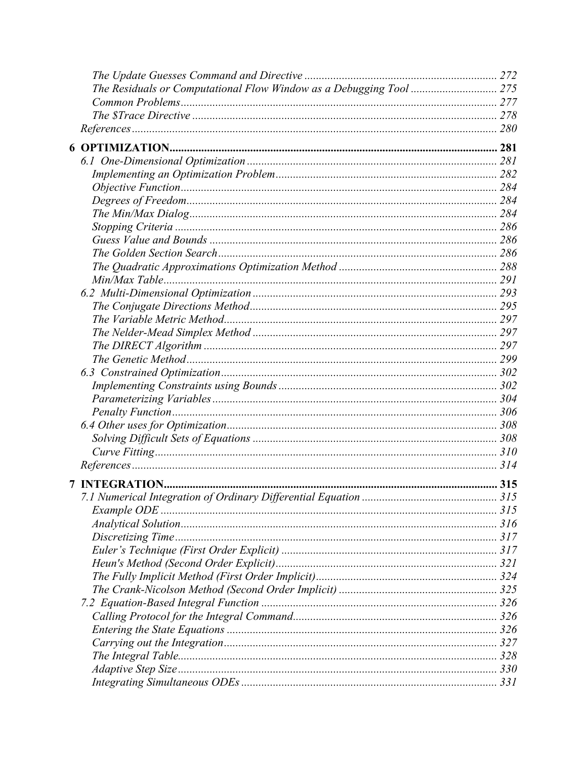| <b>INTEGRATION.</b>                                         |     |
|-------------------------------------------------------------|-----|
| 7.1 Numerical Integration of Ordinary Differential Equation | 315 |
|                                                             |     |
|                                                             |     |
|                                                             |     |
|                                                             |     |
|                                                             |     |
|                                                             |     |
|                                                             |     |
|                                                             |     |
|                                                             |     |
|                                                             |     |
|                                                             |     |
|                                                             |     |
|                                                             |     |
|                                                             |     |
|                                                             |     |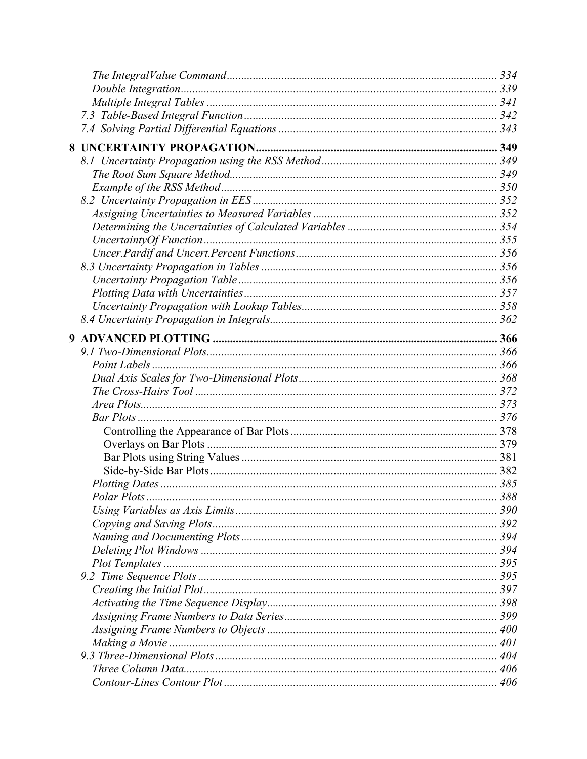| Polar Plots | 388 |
|-------------|-----|
|             |     |
|             |     |
|             |     |
|             |     |
|             |     |
|             |     |
|             |     |
|             |     |
|             |     |
|             |     |
|             |     |
|             |     |
|             |     |
|             |     |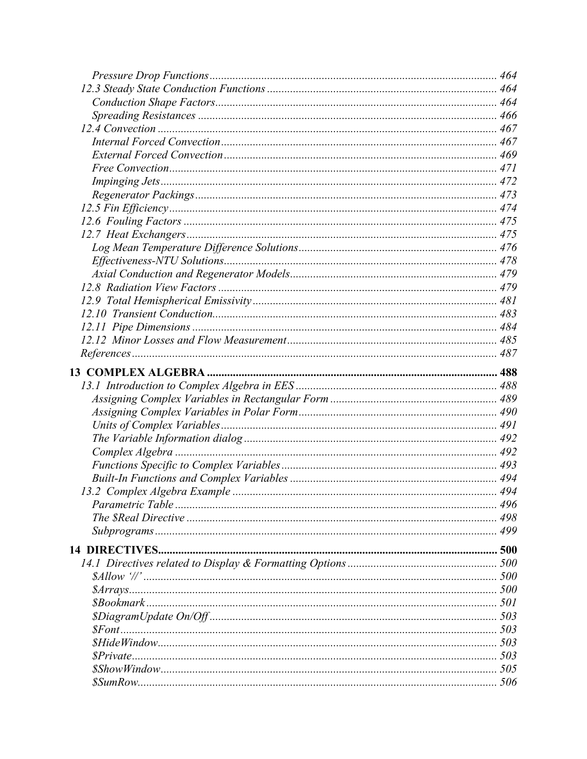| 496 |
|-----|
|     |
|     |
|     |
|     |
|     |
|     |
|     |
|     |
|     |
|     |
|     |
|     |
|     |
|     |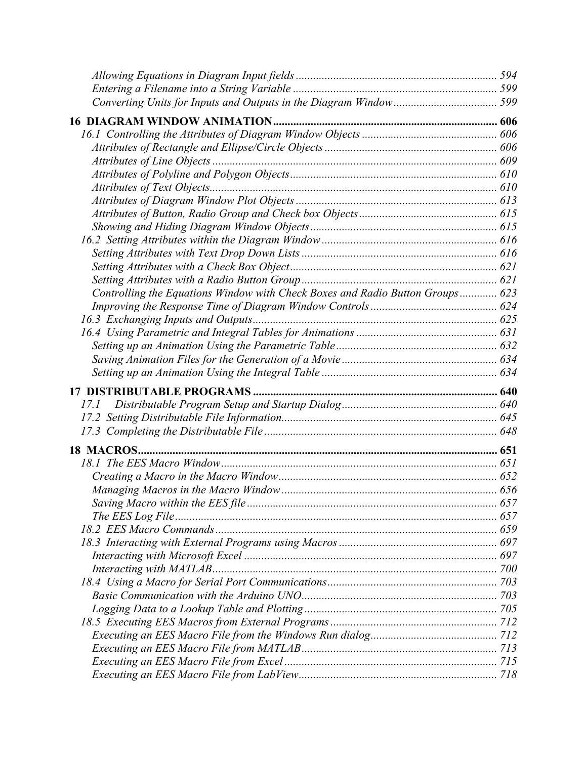| Controlling the Equations Window with Check Boxes and Radio Button Groups 623 |  |
|-------------------------------------------------------------------------------|--|
|                                                                               |  |
|                                                                               |  |
|                                                                               |  |
|                                                                               |  |
|                                                                               |  |
|                                                                               |  |
|                                                                               |  |
|                                                                               |  |
| 17.1                                                                          |  |
|                                                                               |  |
|                                                                               |  |
|                                                                               |  |
|                                                                               |  |
|                                                                               |  |
|                                                                               |  |
|                                                                               |  |
|                                                                               |  |
|                                                                               |  |
|                                                                               |  |
|                                                                               |  |
|                                                                               |  |
|                                                                               |  |
|                                                                               |  |
|                                                                               |  |
|                                                                               |  |
|                                                                               |  |
|                                                                               |  |
|                                                                               |  |